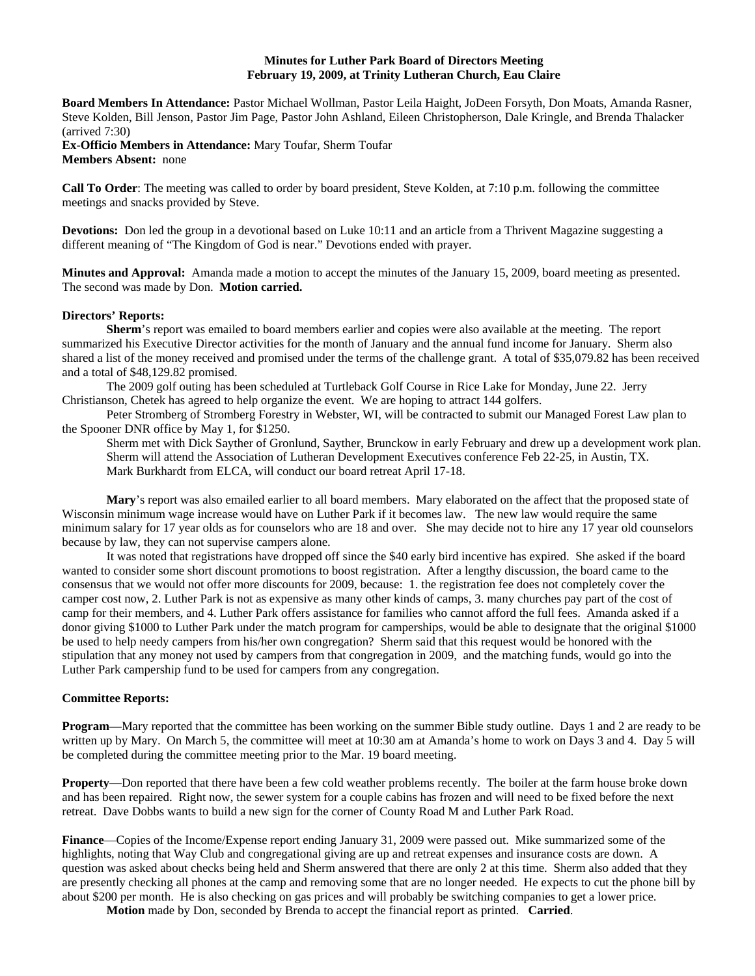### **Minutes for Luther Park Board of Directors Meeting February 19, 2009, at Trinity Lutheran Church, Eau Claire**

**Board Members In Attendance:** Pastor Michael Wollman, Pastor Leila Haight, JoDeen Forsyth, Don Moats, Amanda Rasner, Steve Kolden, Bill Jenson, Pastor Jim Page, Pastor John Ashland, Eileen Christopherson, Dale Kringle, and Brenda Thalacker (arrived 7:30)

**Ex-Officio Members in Attendance:** Mary Toufar, Sherm Toufar **Members Absent:** none

**Call To Order**: The meeting was called to order by board president, Steve Kolden, at 7:10 p.m. following the committee meetings and snacks provided by Steve.

**Devotions:** Don led the group in a devotional based on Luke 10:11 and an article from a Thrivent Magazine suggesting a different meaning of "The Kingdom of God is near." Devotions ended with prayer.

**Minutes and Approval:** Amanda made a motion to accept the minutes of the January 15, 2009, board meeting as presented. The second was made by Don. **Motion carried.**

#### **Directors' Reports:**

**Sherm**'s report was emailed to board members earlier and copies were also available at the meeting. The report summarized his Executive Director activities for the month of January and the annual fund income for January. Sherm also shared a list of the money received and promised under the terms of the challenge grant. A total of \$35,079.82 has been received and a total of \$48,129.82 promised.

The 2009 golf outing has been scheduled at Turtleback Golf Course in Rice Lake for Monday, June 22. Jerry Christianson, Chetek has agreed to help organize the event. We are hoping to attract 144 golfers.

Peter Stromberg of Stromberg Forestry in Webster, WI, will be contracted to submit our Managed Forest Law plan to the Spooner DNR office by May 1, for \$1250.

Sherm met with Dick Sayther of Gronlund, Sayther, Brunckow in early February and drew up a development work plan. Sherm will attend the Association of Lutheran Development Executives conference Feb 22-25, in Austin, TX. Mark Burkhardt from ELCA, will conduct our board retreat April 17-18.

**Mary**'s report was also emailed earlier to all board members. Mary elaborated on the affect that the proposed state of Wisconsin minimum wage increase would have on Luther Park if it becomes law. The new law would require the same minimum salary for 17 year olds as for counselors who are 18 and over. She may decide not to hire any 17 year old counselors because by law, they can not supervise campers alone.

It was noted that registrations have dropped off since the \$40 early bird incentive has expired. She asked if the board wanted to consider some short discount promotions to boost registration. After a lengthy discussion, the board came to the consensus that we would not offer more discounts for 2009, because: 1. the registration fee does not completely cover the camper cost now, 2. Luther Park is not as expensive as many other kinds of camps, 3. many churches pay part of the cost of camp for their members, and 4. Luther Park offers assistance for families who cannot afford the full fees. Amanda asked if a donor giving \$1000 to Luther Park under the match program for camperships, would be able to designate that the original \$1000 be used to help needy campers from his/her own congregation? Sherm said that this request would be honored with the stipulation that any money not used by campers from that congregation in 2009, and the matching funds, would go into the Luther Park campership fund to be used for campers from any congregation.

### **Committee Reports:**

**Program—Mary reported that the committee has been working on the summer Bible study outline. Days 1 and 2 are ready to be** written up by Mary. On March 5, the committee will meet at 10:30 am at Amanda's home to work on Days 3 and 4. Day 5 will be completed during the committee meeting prior to the Mar. 19 board meeting.

**Property**—Don reported that there have been a few cold weather problems recently. The boiler at the farm house broke down and has been repaired. Right now, the sewer system for a couple cabins has frozen and will need to be fixed before the next retreat. Dave Dobbs wants to build a new sign for the corner of County Road M and Luther Park Road.

**Finance**—Copies of the Income/Expense report ending January 31, 2009 were passed out. Mike summarized some of the highlights, noting that Way Club and congregational giving are up and retreat expenses and insurance costs are down. A question was asked about checks being held and Sherm answered that there are only 2 at this time. Sherm also added that they are presently checking all phones at the camp and removing some that are no longer needed. He expects to cut the phone bill by about \$200 per month. He is also checking on gas prices and will probably be switching companies to get a lower price.

**Motion** made by Don, seconded by Brenda to accept the financial report as printed. **Carried**.